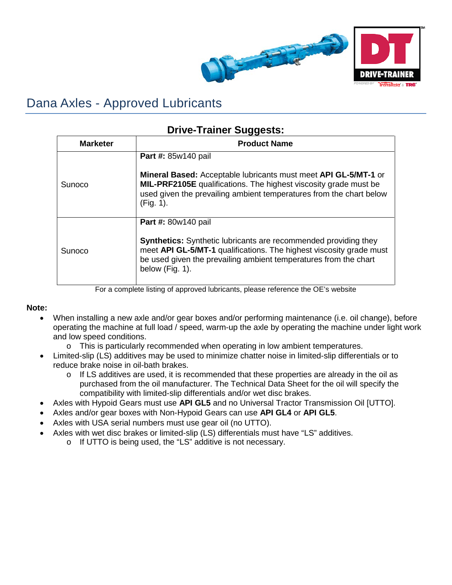

## Dana Axles - Approved Lubricants

## **Drive-Trainer Suggests:**

| <b>Marketer</b> | <b>Product Name</b>                                                                                                                                                                                                                                         |
|-----------------|-------------------------------------------------------------------------------------------------------------------------------------------------------------------------------------------------------------------------------------------------------------|
| Sunoco          | Part #: 85w140 pail<br>Mineral Based: Acceptable lubricants must meet API GL-5/MT-1 or<br>MIL-PRF2105E qualifications. The highest viscosity grade must be<br>used given the prevailing ambient temperatures from the chart below<br>(Fig. 1).              |
| Sunoco          | Part #: 80w140 pail<br><b>Synthetics:</b> Synthetic lubricants are recommended providing they<br>meet API GL-5/MT-1 qualifications. The highest viscosity grade must<br>be used given the prevailing ambient temperatures from the chart<br>below (Fig. 1). |

For a complete listing of approved lubricants, please reference the OE's website

## **Note:**

- When installing a new axle and/or gear boxes and/or performing maintenance (i.e. oil change), before operating the machine at full load / speed, warm-up the axle by operating the machine under light work and low speed conditions.
	- o This is particularly recommended when operating in low ambient temperatures.
- Limited-slip (LS) additives may be used to minimize chatter noise in limited-slip differentials or to reduce brake noise in oil-bath brakes.
	- $\circ$  If LS additives are used, it is recommended that these properties are already in the oil as purchased from the oil manufacturer. The Technical Data Sheet for the oil will specify the compatibility with limited-slip differentials and/or wet disc brakes.
- Axles with Hypoid Gears must use **API GL5** and no Universal Tractor Transmission Oil [UTTO].
- Axles and/or gear boxes with Non-Hypoid Gears can use **API GL4** or **API GL5**.
- Axles with USA serial numbers must use gear oil (no UTTO).
- Axles with wet disc brakes or limited-slip (LS) differentials must have "LS" additives.
	- o If UTTO is being used, the "LS" additive is not necessary.